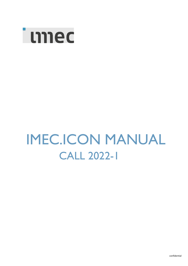

# IMEC.ICON MANUAL CALL 2022-1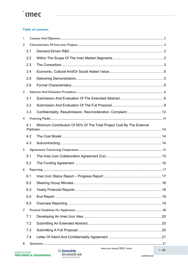## **imec**

#### **Table of contents**

| $\mathbf{I}$   |     |                                                                       |      |  |  |
|----------------|-----|-----------------------------------------------------------------------|------|--|--|
| $\overline{2}$ |     |                                                                       |      |  |  |
|                | 2.1 |                                                                       |      |  |  |
|                | 2.2 |                                                                       |      |  |  |
|                | 2.3 |                                                                       |      |  |  |
|                | 2.4 |                                                                       |      |  |  |
|                | 2.5 |                                                                       |      |  |  |
|                | 2.6 |                                                                       |      |  |  |
| 3              |     |                                                                       |      |  |  |
|                | 3.1 |                                                                       |      |  |  |
|                | 3.2 |                                                                       |      |  |  |
|                | 3.3 |                                                                       |      |  |  |
| $\overline{4}$ |     |                                                                       |      |  |  |
|                | 4.1 | Minimum Contribution Of 50% Of The Total Project Cost By The External |      |  |  |
|                |     |                                                                       |      |  |  |
|                | 4.2 |                                                                       |      |  |  |
|                | 4.3 |                                                                       |      |  |  |
| 5              |     |                                                                       |      |  |  |
|                | 5.1 |                                                                       |      |  |  |
|                | 5.2 |                                                                       |      |  |  |
| 6              |     |                                                                       |      |  |  |
|                | 6.1 |                                                                       |      |  |  |
|                | 6.2 |                                                                       |      |  |  |
|                | 6.3 |                                                                       |      |  |  |
|                | 6.4 |                                                                       |      |  |  |
|                | 6.5 |                                                                       |      |  |  |
| $\overline{7}$ |     |                                                                       |      |  |  |
|                | 7.1 |                                                                       |      |  |  |
|                | 7.2 |                                                                       |      |  |  |
|                | 7.3 |                                                                       |      |  |  |
|                | 7.4 |                                                                       |      |  |  |
| 8              |     | imec.icon manual 2022-1.docx                                          |      |  |  |
|                |     | <b>SS innovirie</b>                                                   | 1/23 |  |  |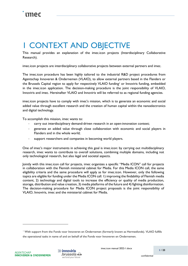## <span id="page-2-0"></span>1 CONTEXT AND OBJECTIVE

This manual provides an explanation of the imec.icon projects (Interdisciplinary Collaborative Research).

imec.icon projects are interdisciplinary collaborative projects between external partners and imec.

The imec.icon procedure has been highly tailored to the industrial R&D project procedures from Agentschap Innoveren & Ondernemen (VLAIO), to allow external partners based in the Flanders or the Brussels Capital region to apply for respectively VLAIO funding<sup>[1](#page-2-1)</sup> or Innoviris funding, embedded in the imec.icon application. The decision-making procedure is the joint responsibility of VLAIO, Innoviris and imec. Hereinafter VLAIO and Innoviris will be referred to as regional funding agencies.

imec.icon projects have to comply with imec's mission, which is to generate an economic and social added value through excellent research and the creation of human capital within the nanoelectronics and digital technology.

To accomplish this mission, imec wants to:

- carry out interdisciplinary demand-driven research in an open-innovation context;
- generate an added value through close collaboration with economic and social players in Flanders and in the whole world;
- support researchers and companies in becoming world players.

One of imec's major instruments in achieving this goal is imec.icon: by carrying out multidisciplinary research, imec wants to contribute to overall solutions, combining multiple domains, including not only technological research, but also legal and societal aspects.

Jointly with this imec.icon call for projects, imec organizes a specific "Media ICON" call for projects in collaboration with the Flemish ministerial cabinet for Media. For this Media ICON call, the same eligibility criteria and the same procedure will apply as for imec.icon. However, only the following topics are eligible for funding under the Media ICON call: 1) improving the findability of Flemish media content, 2) technology and digital tools to increase the efficiency or quality of media production, storage, distribution and value creation, 3) media platforms of the future and 4) fighting disinformation. The decision-making procedure for Media ICON project proposals is the joint responsibility of VLAIO, Innoviris, imec and the ministerial cabinet for Media.



imec.icon manual 2022-1.docx

<span id="page-2-1"></span><sup>1</sup> With support from the Fonds voor Innoveren en Ondernemen (formerly known as Hermesfonds). VLAIO fulfills the operational tasks in name of and on behalf of the Fonds voor Innoveren en Ondernemen.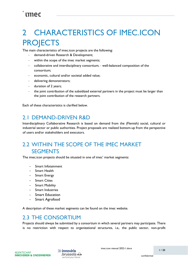## <span id="page-3-0"></span>2 CHARACTERISTICS OF IMEC.ICON **PROJECTS**

The main characteristics of imec.icon projects are the following:

- demand-driven Research & Development;
- within the scope of the imec market segments;
- collaborative and interdisciplinary consortium; well-balanced composition of the consortium;
- economic, cultural and/or societal added value;
- delivering demonstrators;
- duration of 2 years;
- the joint contribution of the subsidized external partners in the project must be larger than the joint contribution of the research partners.

Each of these characteristics is clarified below.

### <span id="page-3-1"></span>2.1 DEMAND-DRIVEN R&D

Interdisciplinary Collaborative Research is based on demand from the (Flemish) social, cultural or industrial sector or public authorities. Project proposals are realized bottom-up from the perspective of users and/or stakeholders and executors.

### <span id="page-3-2"></span>2.2 WITHIN THE SCOPE OF THE IMEC MARKET **SEGMENTS**

The imec.icon projects should be situated in one of imec' market segments:

- Smart Infotainment
- Smart Health
- Smart Energy
- **Smart Cities**
- Smart Mobility
- Smart Industries
- **Smart Education**
- Smart Agrofood

A description of these market segments can be found on the imec website.

### <span id="page-3-3"></span>2.3 THE CONSORTIUM

Projects should always be submitted by a consortium in which several partners may participate. There is no restriction with respect to organizational structures, i.e,. the public sector, non-profit

 $\gg$  innoviris  $\cdot$ brussels  $\mathcal{S}$ we fund your future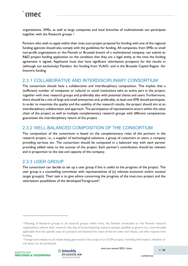organizations, SMEs, as well as large companies and local branches of multinationals can participate together with the Research groups [2.](#page-4-0)

Partners who wish to apply within their imec.icon project proposal for funding with one of the regional funding agencies should also comply with the guidelines for funding. All companies, from SMEs to small non-profit organizations or the Flemish or Brussels branch of a multinational company, can submit an R&D project funding application on the condition that they are a legal entity at the time the funding agreement is signed. Applicants must also have significant valorization prospects for the results in (although not exclusively) Flanders -for funding from VLAIO- and in the Brussels Capital Region -for Innoviris funding.

#### 2.3.1 COLLABORATIVE AND INTERDISCIPLINARY CONSORTIUM

The consortium should have a collaborative and interdisciplinary composition. This implies that a (sufficient) number of companies or cultural or social institutions take an active part in the project, together with imec research groups and preferably also with potential clients and users. Furthermore, there should be a mix of large and small enterprises and, preferably, at least one SME should participate. In order to maximize the quality and the usability of the research results, the project should aim at an interdisciplinary collaboration and approach. The participation of representative actors within the value chain of the project as well as multiple complementary research groups with different competences guarantees the interdisciplinary nature of the project.

#### 2.3.2 WELL-BALANCED COMPOSITION OF THE CONSORTIUM

The composition of the consortium is based on the complementary roles of the partners in the research project, i.e., a supplier of technological solutions, a group of customers or users, a company providing services etc. The consortium should be composed in a balanced way with each partner providing added value to the success of the project. Each partner's contribution should be relevant and in proportion to the size and capacity of the company.

#### 2.3.3 USER GROUP

The consortium can decide to set up a user group if this is useful to the progress of the project. The user group is a counselling committee with representatives of (a) relevant economic and/or societal target group(s). Their task is to give advice concerning the progress of the imec.icon project and the valorization possibilities of the developed Foreground[3](#page-4-1).



<span id="page-4-0"></span><sup>2</sup> Meaning of Research groups is: all research groups within imec, the Flemish universities or the Flemish research organizations (where their research, like that of all participating research groups, qualifies as generic (i.e. more broadly applicable than the specific case of a project) and beyond the state-of-the-art (new and risky)), and who request imec funding.

<span id="page-4-1"></span><sup>&</sup>lt;sup>3</sup> Foreground relates to all results being generated in the scope of an ICON project, including information, whether or not these can be protected.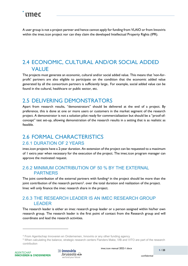A user group is not a project partner and hence cannot apply for funding from VLAIO or from Innoviris within the imec.icon project nor can they claim the developed Intellectual Property Rights (IPR).

## <span id="page-5-0"></span>2.4 ECONOMIC, CULTURAL AND/OR SOCIAL ADDED **VALUE**

The projects must generate an economic, cultural and/or social added value. This means that 'non-forprofit' partners are also eligible to participate on the condition that the economic added value generated by all the consortium partners is sufficiently large.. For example, social added value can be found in the cultural, healthcare or public sector, etc.

### <span id="page-5-1"></span>2.5 DELIVERING DEMONSTRATORS

Apart from research results, "demonstrators" should be delivered at the end of a project. By preference, this is done at one or more users or customers in the market segment of the research project. A demonstrator is not a solution pilot ready for commercialization but should be a "proof-ofconcept" test set-up, allowing demonstration of the research results in a setting that is as realistic as feasible.

### <span id="page-5-2"></span>2.6 FORMAL CHARACTERISTICS 2.6.1 DURATION OF 2 YEARS

imec.icon projects have a 2-year duration. An extension of the project can be requested to a maximum of 1 extra year when necessary for the execution of the project. The imec.icon program manager can approve the motivated request.

#### 2.6.2 MINIMUM CONTRIBUTION OF 50 % BY THE EXTERNAL PARTNERS

The joint contribution of the external partners with funding<sup>[4](#page-5-3)</sup> in the project should be more than the joint contribution of the research partners<sup>5</sup>. over the total duration and realization of the project. Imec will only finance the imec research share in the project.

#### 2.6.3 THE RESEARCH LEADER IS AN IMEC RESEARCH GROUP LEADER

The research leader is either an imec research group leader or a person assigned within his/her own research group. The research leader is the first point of contact from the Research group and will coordinate and lead the research activities.



imec.icon manual 2022-1.docx

<span id="page-5-4"></span><span id="page-5-3"></span><sup>&</sup>lt;sup>4</sup> From Agentschap Innoveren en Ondernemen, Innoviris or any other funding agency<br><sup>5</sup> When calculating the balance, strategic research centers Flanders Make, VIB and VITO are part of the research contribution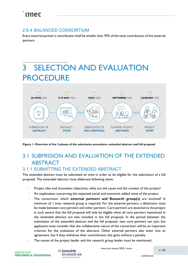#### 2.6.4 BALANCED CONSORTIUM

Every external partner's contribution shall be smaller than 70% of the total contribution of the external partners.

## <span id="page-6-0"></span>3 SELECTION AND EVALUATION **PROCEDURE**



**Figure 1: Overview of the 2 phases of the submission procedure: extended abstract and full proposal**

## <span id="page-6-1"></span>3.1 SUBMISSION AND EVALUATION OF THE EXTENDED ABSTRACT

### 3.1.1 SUBMITTING THE EXTENDED ABSTRACT

The extended abstract must be submitted on time in order to be eligible for the submission of a full proposal. The extended abstract must elaborate following items:

- Project idea and innovation objectives, what are the cause and the context of the project?
- An explanation concerning the expected social and economic added value of the project.
- The consortium: which **external partners and Research group(s)** are involved? A minimum of 1 imec research group is required. For the external partners, a distinction must be made between core partners and other partners. Core partners are essential to the project in such extent that the full proposal will only be eligible when all core partners mentioned in the extended abstract are also included in the full proposal. In the period between the submission of the extended abstract and the full proposal, new core partners can join, but applicants must consider that the collaborative nature of the consortium will be an important criterion for the evaluation of the abstracts. Other external partners also enter into an agreement, but if they withdraw their commitment, this goes without a penalty.
- The names of the project leader and the research group leader must be mentioned.

 $\gg$  innoviris  $\cdot$ brussels  $\mathcal{S}$ we fund your future

imec.icon manual 2022-1.docx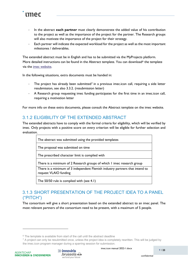

- In the abstract **each partner** must clearly demonstrate the added value of his contribution to the project as well as the importance of the project for the partner. The Research groups will also motivate the importance of the project for their strategy.
- Each partner will indicate the expected workload for the project as well as the most important milestones / deliverables.

The extended abstract must be in English and has to be submitted via the MyProjects platform. More detailed instructions can be found in the Abstract template. You can download<sup>[6](#page-7-0)</sup> the template via the [imec website.](http://www.imec-int.com/icon/project-documents)

In the following situations, extra documents must be handed in:

- The project has already been submitted<sup>[7](#page-7-1)</sup> in a previous imec.icon call, requiring a side letter resubmission, see also 3.3.2. (resubmission letter)
- A Research group requesting imec funding participates for the first time in an imec.icon call, requiring a motivation letter

For more info on these extra documents, please consult the Abstract template on the imec website.

#### 3.1.2 ELIGIBILITY OF THE EXTENDED ABSTRACT

The extended abstracts have to comply with the formal criteria for eligibility, which will be verified by imec. Only projects with a positive score on every criterion will be eligible for further selection and evaluation.

The abstract was submitted using the provided templates

The proposal was submitted on time

The prescribed character limit is complied with

There is a minimum of 2 Research groups of which 1 imec research group

There is a minimum of 3 independent Flemish industry partners that intend to request VLAIO funding

The 50/50 rule is complied with (see 4.1)

#### 3.1.3 SHORT PRESENTATION OF THE PROJECT IDEA TO A PANEL ("PITCH")

The consortium will give a short presentation based on the extended abstract to an imec panel. The most relevant partners of the consortium need to be present, with a maximum of 5 people.



<span id="page-7-1"></span><span id="page-7-0"></span> $6$  The template is available from start of the call until the abstract deadline<br>7 A project can only be resubmitted once, unless the project idea is completely rewritten. This will be judged by the imec.icon program manager during a sparring session for submission.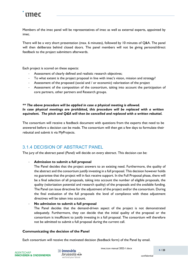Members of the imec panel will be representatives of imec as well as external experts, appointed by imec.

There will be a very short presentation (max. 6 minutes), followed by 10 minutes of Q&A. The panel will then deliberate behind closed doors. The panel members will not be giving personal/direct feedback to the project submitters afterwards.

Each project is scored on these aspects:

- Assessment of clearly defined and realistic research objectives;
- To what extent is the project proposal in line with imec's vision, mission and strategy?
- Assessment of the proposed (social and / or economic) valorization of the project
- Assessment of the composition of the consortium, taking into account the participation of core partners, other partners and Research groups.

#### *\*\* The above procedure will be applied in case a physical meeting is allowed. In case physical meetings are prohibited, this procedure will be replaced with a written equivalent. The pitch and Q&A will then be cancelled and replaced with a written rebuttal.*

The consortium will receive a feedback document with questions from the experts that need to be answered before a decision can be made. The consortium will then get a few days to formulate their rebuttal and submit it via MyProjects.

#### 3.1.4 DECISION OF ABSTRACT PANEL

The jury of the abstract panel (Panel) will decide on every abstract. This decision can be:

#### - **Admission to submit a full proposal**

The Panel decides that the project answers to an existing need. Furthermore, the quality of the abstract and the consortium justify investing in a full proposal. This decision however holds no guarantee that the project will in fact receive support. In the Full Proposal phase, there will be a final selection of all proposals, taking into account the number of eligible proposals, the quality (valorization potential and research quality) of the proposals and the available funding. The Panel can issue directives for the adjustment of the project and/or the consortium. During the final evaluation of the full proposals the level of compliance with these adjustment directives will be taken into account.

#### - **No admission to submit a full proposal**

The Panel decides that the demand-driven aspect of the project is not demonstrated adequately. Furthermore, they can decide that the initial quality of the proposal or the consortium is insufficient to justify investing in a full proposal. The consortium will therefore not be admitted to submit a full proposal during the current call.

#### **Communicating the decision of the Panel**

Each consortium will receive the motivated decision (feedback form) of the Panel by email.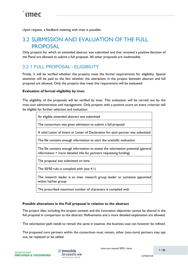Upon request, a feedback meeting with imec is possible.

### <span id="page-9-0"></span>3.2 SUBMISSION AND EVALUATION OF THE FULL **PROPOSAL**

Only projects for which an extended abstract was submitted and that received a positive decision of the Panel are allowed to submit a full proposal. All other proposals are inadmissible.

#### 3.2.1 FULL PROPOSAL - ELIGIBILITY

Firstly, it will be verified whether the projects meet the formal requirements for eligibility. Special attention will be paid to the fact whether the alterations in the project between abstract and full proposal are allowed. Only the projects that meet this requirement will be evaluated.

#### **Evaluation of formal eligibility by imec**

The eligibility of the proposals will be verified by imec. This evaluation will be carried out by the imec.icon administration and management. Only projects with a positive score on every criterion will be eligible for further selection and evaluation.

| An eligible extended abstract was submitted                                                                                                             |
|---------------------------------------------------------------------------------------------------------------------------------------------------------|
| The consortium was given admission to submit a full proposal                                                                                            |
| A valid Letter of Intent or Letter of Declaration for each partner was submitted                                                                        |
| The file contains enough information to start the scientific evaluation                                                                                 |
| The file contains enough information to assess the valorization potential (general<br>information + more detailed info for partners requesting funding) |
| The proposal was submitted on time                                                                                                                      |
| The 50/50 rule is complied with (see 4.1)                                                                                                               |
| The research leader is an imec research group leader or someone appointed<br>within his/her group                                                       |
| The prescribed maximum number of characters is complied with                                                                                            |

#### **Possible alterations in the Full proposal in relation to the abstract**

The project idea, including the project context and the innovation objectives cannot be altered in the full proposal in comparison to the abstract. Refinements and a more detailed explanation are allowed.

The valorization path needs to remain the same in essence, the business case can however be refined.

The proposed core partners within the consortium must remain, other (non-core) partners may opt out, be replaced or be added.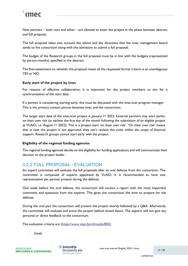New partners – both core and other – are allowed to enter the project in the phase between abstract and full proposal.

The full proposal takes into account the advice and the directives that the imec management board sends to the consortium along with the admission to submit a full proposal.

The budget of the Research groups in the full proposal must be in line with the budgets (represented by person-months) specified in the abstract.

The final assessment on whether the proposal meets all the requested formal criteria is an unambiguous YES or NO.

#### **Early start of the project by imec**

For reasons of effective collaboration, it is important for the project members to aim for a synchronization of the start date.

If a partner is considering starting early, this must be discussed with the imec.icon program manager. This is the primary contact person between imec and the consortium.

The target start date of the imec.icon project is  $\lambda$  anuary 1st 2023. External partners may start earlier on their own risk (at earliest the first day of the month following the submission of an eligible project at VLAIO, i.e. August  $1st$  2022). This is a project start 'on their own risk'. 'On their own risk' means that in case the project is not approved, they can't reclaim the costs within the scope of financial support. Research groups cannot start early with the project.

#### **Eligibility of the regional funding agencies**

The regional funding agencies decide on the eligibility for funding applications and will communicate their decision to the project leader.

#### 3.2.2 FULL PROPOSAL - EVALUATION

An expert committee will evaluate the full proposals after an oral defense from the consortium. The committee is composed of experts appointed by VLAIO. It is recommended to have one representative per partner present during the defense.

One week before the oral defense, the consortium will receive a report with the most important comments and questions from the experts. This gives the consortium the time to prepare for the defense.

During the oral part the consortium will present the project shortly followed by a Q&A. Afterwards, the committee will evaluate and score the project behind closed doors. The experts will not give any personal or direct feedback to the consortium.

The evaluation criteria are [\(https://www.vlaio.be/nl/media/850\):](https://www.vlaio.be/nl/media/850) 

**Goals**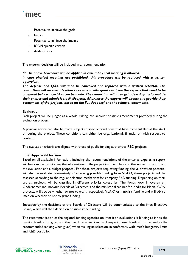

- Potential to achieve the goals
- **Impact**
- Potential to achieve the impact
- ICON specific criteria
- **Additionality**

The experts' decision will be included in a recommendation.

*\*\* The above procedure will be applied in case a physical meeting is allowed.* 

*In case physical meetings are prohibited, this procedure will be replaced with a written equivalent.* 

*The defense and Q&A will then be cancelled and replaced with a written rebuttal. The consortium will receive a feedback document with questions from the experts that need to be answered before a decision can be made. The consortium will then get a few days to formulate their answer and submit it via MyProjects. Afterwards the experts will discuss and provide their assessment of the projects, based on the Full Proposal and the rebuttal documents.*

#### **Evaluation**

Each project will be judged as a whole, taking into account possible amendments provided during the evaluation process.

A positive advice can also be made subject to specific conditions that have to be fulfilled at the start or during the project. These conditions can either be organizational, financial or with respect to content.

The evaluation criteria are aligned with those of public funding authorities R&D projects.

#### **Final Approval/Decision**

Based on all available information, including the recommendations of the external experts, a report will be drawn up, containing the information on the project (with emphasis on the innovation purpose), the evaluation and a budget proposal. For those projects requesting funding, the valorization potential will also be evaluated extensively. Concerning possible funding from VLAIO, these projects will be assessed according to the regular selection mechanism for company R&D funding. Depending on their scores, projects will be classified in different priority categories. The Fonds voor Innoveren en Ondernemenand Innoviris Boards of Directors, and the ministerial cabinet for Media for Media ICON projects, will decide whether or not to grant respectively VLAIO or Innoviris funding and will advise imec on whether or not to grant funding.

Subsequently the decisions of the Boards of Directors will be communicated to the imec Executive Board, which will then decide on possible imec funding.

The recommendation of the regional funding agencies on imec.icon evaluations is binding as far as the quality classification goes, and the imec Executive Board will respect these classifications (as well as the recommended ranking when given) when making its selection, in conformity with imec's budgetary limits and R&D portfolio.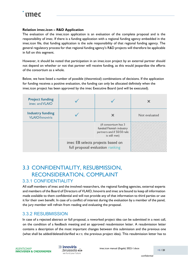#### **Relation imec.icon – R&D Application**

The evaluation of the imec.icon application is an evaluation of the complete proposal and is the responsibility of imec. If there is a funding application with a regional funding agency embedded in the imec.icon file, that funding application is the sole responsibility of that regional funding agency. The general regulatory process for that regional funding agency's R&D projects will therefore be applicable in full on this segment.

However, it should be noted that participation in an imec.icon project by an external partner should not depend on whether or not that partner will receive funding, as this would jeopardize the efforts of the consortium as a whole.

Below, we have listed a number of possible (theoretical) combinations of decisions. If the application for funding receives a positive evaluation, the funding can only be allocated definitely when the imec.icon project has been approved by the imec Executive Board (and will be executed).

| <b>Project funding</b><br>imec and VLAIO          |                                                                       |                                                                                                |               |
|---------------------------------------------------|-----------------------------------------------------------------------|------------------------------------------------------------------------------------------------|---------------|
| <b>Industry funding</b><br><b>VLAIO/Innoviris</b> |                                                                       |                                                                                                | Not evaluated |
|                                                   |                                                                       | (if consortium has 3<br>funded Flemish industry<br>partners and if 50/50 rule<br>is still met) |               |
|                                                   | imec EB selects projects based on<br>full proposal evaluation ranking |                                                                                                |               |

## <span id="page-12-0"></span>3.3 CONFIDENTIALITY, RESUBMISSION, RECONSIDERATION, COMPLAINT

#### 3.3.1 CONFIDENTIALITY

All staff members of imec and the involved researchers, the regional funding agencies, external experts and members of the Board of Directors of VLAIO, Innoviris and imec are bound to keep all information made available to them confidential and will not provide any of that information to third parties or use it for their own benefit. In case of a conflict of interest during the evaluation by a member of the panel, the jury member will refrain from reading and evaluating the proposal.

#### 3.3.2 RESUBMISSION

In case of a rejected abstract or full proposal, a reworked project idea can be submitted in a next call, on the condition of a feedback meeting and an approved resubmission letter. A resubmission letter contains a description of the most important changes between this submission and the previous one (what shall be added/deleted/clarified w.r.t. the previous project idea). This resubmission letter has to

 $\gg$  innoviris  $\mathsf{Brussels} \&$ we fund your future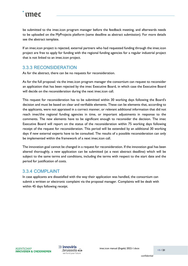be submitted to the imec.icon program manager before the feedback meeting, and afterwards needs to be uploaded on the MyProjects platform (same deadline as abstract submission). For more details see the abstract template.

If an imec.icon project is rejected, external partners who had requested funding through the imec.icon project are free to apply for funding with the regional funding agencies for a regular industrial project that is not linked to an imec.icon project.

#### 3.3.3 RECONSIDERATION

As for the abstract, there can be no requests for reconsideration.

As for the full proposal: via the imec.icon program manager the consortium can request to reconsider an application that has been rejected by the imec Executive Board, in which case the Executive Board will decide on the reconsideration during the next imec.icon call.

This request for reconsideration has to be submitted within 30 working days following the Board's decision and must be based on clear and verifiable elements. These can be elements that, according to the applicants, were not appraised in a correct manner, or relevant additional information that did not reach imec/the regional funding agencies in time, or important adjustments in response to the comments. The new elements have to be significant enough to reconsider the decision. The imec Executive Board will report on the status of the reconsideration within 75 working days following receipt of the request for reconsideration. This period will be extended by an additional 30 working days if new external experts have to be consulted. The results of a possible reconsideration can only be implemented within the framework of a next imec.icon call.

The innovation goal cannot be changed in a request for reconsideration. If the innovation goal has been altered thoroughly, a new application can be submitted (at a next abstract deadline) which will be subject to the same terms and conditions, including the terms with respect to the start date and the period for justification of costs.

#### 3.3.4 COMPLAINT

In case applicants are dissatisfied with the way their application was handled, the consortium can submit a written or electronic complaint via the proposal manager. Complaints will be dealt with within 45 days following receipt.

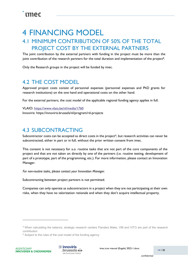## <span id="page-14-0"></span>4 FINANCING MODEL

## <span id="page-14-1"></span>4.1 MINIMUM CONTRIBUTION OF 50% OF THE TOTAL PROJECT COST BY THE EXTERNAL PARTNERS

The joint contribution by the external partners with funding in the project must be more than the joint contribution of the research partners for the total duration and implementation of the project<sup>8</sup>.

Only the Research groups in the project will be funded by imec.

### <span id="page-14-2"></span>4.2 THE COST MODEL

Approved project costs consist of personnel expenses (personnel expenses and PhD grants for research institutions) on the one hand and operational costs on the other hand.

For the external partners, the cost model of the applicable regional funding agency applies in full.

VLAIO: [https://www.vlaio.be/nl/media/1760](https://www.vlaio.be/nl/media/1478) Innoviris: https://innoviris.brussels/nl/program/rd-project[s](https://innoviris.brussels/nl/rd-projects)

### <span id="page-14-3"></span>4.3 SUBCONTRACTING

Subcontractor costs can be accepted as direct costs in the project<sup>9</sup>, but research activities can never be subcontracted, either in part or in full, without the prior written consent from imec.

This consent is not necessary for a.o. routine tasks that are not part of the core components of the project and that are not taken on directly by one of the partners (i.e. routine testing, development of part of a prototype, part of the programming, etc.). For more information, please contact an Innovation Manager.

*For non-routine tasks, please contact your Innovation Manager.*

Subcontracting between project partners is not permitted.

Companies can only operate as subcontractors in a project when they are not participating at their own risks, when they have no valorization rationale and when they don't acquire intellectual property.



<span id="page-14-4"></span><sup>&</sup>lt;sup>8</sup> When calculating the balance, strategic research centers Flanders Make, VIB and VITO are part of the research contribution

<span id="page-14-5"></span><sup>&</sup>lt;sup>9</sup> Subject to the rules of the cost model of the funding agency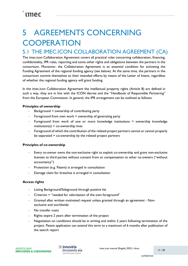## <span id="page-15-0"></span>5 AGREEMENTS CONCERNING **COOPERATION**

### <span id="page-15-1"></span>5.1 THE IMEC.ICON COLLABORATION AGREEMENT (CA)

The imec.icon Collaboration Agreement covers all practical rules concerning collaboration, financing, confidentiality, IPR rules, reporting and some other rights and obligations between the partners in the consortium. Moreover, the Collaboration Agreement is an essential condition for activating the Funding Agreement of the regional funding agency (see below). At the same time, the partners in the consortium commit themselves to their intended efforts by means of the Letter of Intent, regardless of whether the regional funding agency will grant funding.

In the imec.icon Collaboration Agreement the intellectual property rights (Article 8) are defined in such a way, they are in line with the ICON decree and the "Handbook of Responsible Partnering" from the European Commission. In general, the IPR arrangement can be outlined as follows:

#### **Principles of ownership**

- Background  $=$  ownership of contributing party
- Foreground from own work  $=$  ownership of generating party
- Foreground from work of one or more knowledge institutions = ownership knowledge  $institution(s) + co-ownership imec$
- Foreground of which the contribution of the related project partners cannot or cannot properly be separated  $=$  co-ownership by the related project partners

#### **Principles of co-ownership**

- Every co-owner owns the non-exclusive right to exploit co-ownership and grant non-exclusive licenses to third parties without consent from or compensation to other co-owners ("without accountancy")
- Protection (e.g. Patent) is arranged in consultation
- Damage claim for breaches is arranged in consultation

#### **Access rights**

- Listing Background/Sideground through positive list
- Criterion = "needed for valorization of the own foreground"
- Granted after written motivated request unless granted through an agreement Nonexclusive and worldwide
- No transfer costs
- Rights expire 2 years after termination of the project
- Negotiation on conditions should be in writing and within 2 years following termination of the project. Patent application can extend this term to a maximum of 6 months after publication of the search report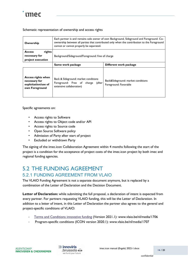

#### Schematic representation of ownership and access rights

| Ownership                                                                           | Each partner is and remains sole owner of own Background, Sideground and Foreground. Co-<br>ownership between all parties that contributed only when the contribution to the Foreground<br>cannot or cannot properly be separated. |                                                             |  |
|-------------------------------------------------------------------------------------|------------------------------------------------------------------------------------------------------------------------------------------------------------------------------------------------------------------------------------|-------------------------------------------------------------|--|
| rights<br><b>Access</b><br>necessary for<br>project execution                       | Background/Sideground/Foreground: free of charge                                                                                                                                                                                   |                                                             |  |
|                                                                                     | Same work package                                                                                                                                                                                                                  | Different work package                                      |  |
| <b>Access rights when</b><br>necessary for<br>exploitation/use of<br>own Foreground | Back & Sideground: market conditions<br>Foreground: Free of charge<br>(after<br>extensive collaboration)                                                                                                                           | Back&Sideground: market conditions<br>Foreground: Favorable |  |

Specific agreements on:

- Access rights to Software
- Access rights to Object code and/or API
- Access rights to Source code
- Open Source Software policy
- Admission of Party after start of project
- Excluded or withdrawn Party

The signing of the imec.icon Collaboration Agreement within 4 months following the start of the project is a condition for the acceptance of project costs of the imec.icon project by both imec and regional funding agencies.

### <span id="page-16-0"></span>5.2 THE FUNDING AGREEMENT 5.2.1 FUNDING AGREEMENT FROM VLAIO

The VLAIO Funding Agreement is not a separate document anymore, but is replaced by a combination of the Letter of Declaration and the Decision Document.

Letter of Declaration: while submitting the full proposal, a declaration of intent is expected from every partner. For partners requesting VLAIO funding, this will be the Letter of Declaration. In addition to a letter of intent, in this Letter of Declaration the partner also agrees to the general and project-specific conditions of VLAIO:

- Terms and Conditions innovative funding [\(](http://www.vlaio.be/nl/media/1309)Version 2021.1): www.vlaio.be/nl/media/1706
- Program-specific conditions (ICON version 2020.1): www.vlaio.be/nl/media/1707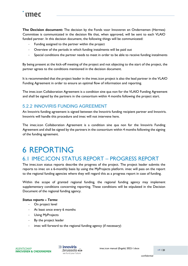**The Decision document:** The decision by the Fonds voor Innoveren en Ondernemen (Hermes) Committee is communicated in the decision file that, when approved, will be sent to each VLAIO funded partner. In this decision document, the following things will be communicated:

- Funding assigned to the partner within the project
- Overview of the periods in which funding instalments will be paid out
- Special conditions the partner needs to meet in order to be able to receive funding instalments

By being present at the kick-off meeting of the project and not objecting to the start of the project, the partner agrees to the conditions mentioned in the decision document.

It is recommended that the project leader in the imec.icon project is also the lead partner in the VLAIO Funding Agreement in order to ensure an optimal flow of information and reporting.

The imec.icon Collaboration Agreement is a condition sine qua non for the VLAIO Funding Agreement and shall be signed by the partners in the consortium within 4 months following the project start.

#### 5.2.2 INNOVIRIS FUNDING AGREEMENT

An Innoviris funding agreement is signed between the Innoviris funding recipient partner and Innoviris. Innoviris will handle this procedure and imec will not intervene here.

The imec.icon Collaboration Agreement is a condition sine qua non for the Innoviris Funding Agreement and shall be signed by the partners in the consortium within 4 months following the signing of the funding agreement.

## <span id="page-17-0"></span>6 REPORTING

## <span id="page-17-1"></span>6.1 IMEC.ICON STATUS REPORT – PROGRESS REPORT

The imec.icon status reports describe the progress of the project. The project leader submits the reports to imec on a 6-monthly basis by using the MyProjects platform. imec will pass on the report to the regional funding agencies where they will regard this as a progress report in case of funding.

Within the scope of granted regional funding, the regional funding agency may implement supplementary conditions concerning reporting. These conditions will be stipulated in the Decision Document of the regional funding agency.

#### *Status reports – Terms:*

- On project level
- At least once every 6 months
- Using MyProjects
- By the project leader
- imec will forward to the regional funding agency (if necessary)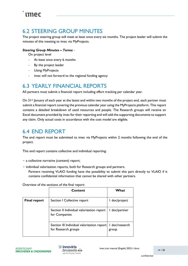## <span id="page-18-0"></span>6.2 STEERING GROUP MINUTES

The project steering group will meet at least once every six months. The project leader will submit the minutes of this meeting to imec via MyProjects.

#### *Steering Group Minutes – Terms:* -

On project level

- At least once every 6 months
- By the project leader
- Using MyProjects
- imec will not forward to the regional funding agency

### <span id="page-18-1"></span>6.3 YEARLY FINANCIAL REPORTS

All partners must submit a financial report including effort tracking per calendar year.

On 31<sup>st</sup> January of each year at the latest and within two months of the project end, each partner must submit a financial report covering the previous calendar year using the MyProjects platform. This report contains a detailed breakdown of used resources and people. The Research groups will receive an Excel document provided by imec for their reporting and will add the supporting documents to support any claim. Only actual costs in accordance with the cost model are eligible.

### <span id="page-18-2"></span>6.4 END REPORT

The end report must be submitted to imec via MyProjects within 2 months following the end of the project.

This end report contains collective and individual reporting:

- − a collective narrative (content) report;
- − individual valorization reports, both for Research groups and partners.

Partners receiving VLAIO funding have the possibility to submit this part directly to VLAIO if it contains confidential information that cannot be shared with other partners.

Overview of the sections of the final report:

|                     | Content                                                           | What                    |
|---------------------|-------------------------------------------------------------------|-------------------------|
| <b>Final report</b> | Section I Collective report                                       | I doc/project           |
|                     | Section II Individual valorization report<br>for Companies        | I doc/partner           |
|                     | Section III Individual valorization report<br>for Research groups | I doc/research<br>group |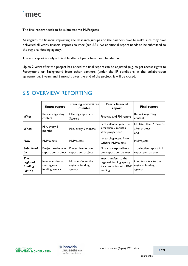The final report needs to be submitted via MyProjects.

As regards the financial reporting, the Research groups and the partners have to make sure they have delivered all yearly financial reports to imec (see 6.3). No additional report needs to be submitted to the regional funding agency.

The end report is only admissible after all parts have been handed in.

Up to 2 years after the project has ended the final report can be adjusted (e.g. to get access rights to Foreground or Background from other partners (under the IP conditions in the collaboration agreement)); 2 years and 2 months after the end of the project, it will be closed.

|                                      | <b>Status report</b>                                | <b>Steering committee</b><br>minutes             | <b>Yearly financial</b><br>report                                                     | <b>Final report</b>                                 |
|--------------------------------------|-----------------------------------------------------|--------------------------------------------------|---------------------------------------------------------------------------------------|-----------------------------------------------------|
| What                                 | Report regarding<br>content                         | Meeting reports of<br>Steerco                    | Financial and PM report                                                               | Report regarding<br>content                         |
| When                                 | Min. every 6<br>months                              | Min. every 6 months                              | Each calendar year + no<br>later than 2 months<br>after project end                   | No later than 2 months<br>after project<br>end      |
| How                                  | <b>MyProjects</b>                                   | MyProjects                                       | research groups: Excel<br><b>Others: MyProjects</b>                                   | <b>MyProjects</b>                                   |
| <b>Submitted</b><br>by               | Project lead - one<br>report per project            | Project lead - one<br>report per project         | Financial responsible -<br>one report per partner                                     | I collective report + I<br>report per partner       |
| The<br>regional<br>funding<br>agency | imec transfers to<br>the regional<br>funding agency | No transfer to the<br>regional funding<br>agency | imec transfers to the<br>regional funding agency<br>for companies with R&D<br>funding | imec transfers to the<br>regional funding<br>agency |

### <span id="page-19-0"></span>6.5 OVERVIEW REPORTING

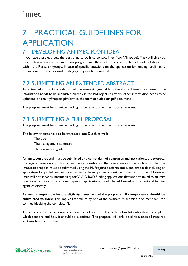## <span id="page-20-0"></span>**PRACTICAL GUIDELINES FOR** APPLICATION

## <span id="page-20-1"></span>7.1 DEVELOPING AN IMEC.ICON IDEA

If you have a project idea, the best thing to do is to contact imec (icon@imec.be). They will give you more information on the imec.icon program and they will refer you to the relevant collaborators within the Research groups. In case of specific questions on the application for funding, preliminary discussions with the regional funding agency can be organized.

### <span id="page-20-2"></span>7.2 SUBMITTING AN EXTENDED ABSTRACT

An extended abstract consists of multiple elements (see table in the abstract template). Some of the information needs to be submitted directly in the MyProjects platform, other information needs to be uploaded on the MyProjects platform in the form of a .doc or .pdf document.

The proposal must be submitted in English because of the international referees.

### <span id="page-20-3"></span>7.3 SUBMITTING A FULL PROPOSAL

The proposal must be submitted in English because of the international referees.

The following parts have to be translated into Dutch as well:

- The title
- The management summary
- The innovation goals

An imec.icon proposal must be submitted by a consortium of companies and institutions, the proposal manager/submission coordinator will be responsible for the consistency of the application file. The imec.icon proposal must be submitted using the MyProjects platform. imec.icon proposals including an application for partial funding by individual external partners must be submitted to imec. However, imec will not serve as intermediary for VLAIO R&D funding applications that are not linked to an imec imec.icon proposal. These latter types of applications should be addressed to the regional funding agencies directly.

As imec is responsible for the eligibility assessment of the proposals, all **components should be submitted to imec**. This implies that failure by one of the partners to submit a document can lead to imec blocking the complete file.

The imec.icon proposal consists of a number of sections. The table below lists who should complete which sections and how it should be submitted. The proposal will only be eligible once all required sections have been submitted.

 $\gg$  innoviris brussels & we fund your future